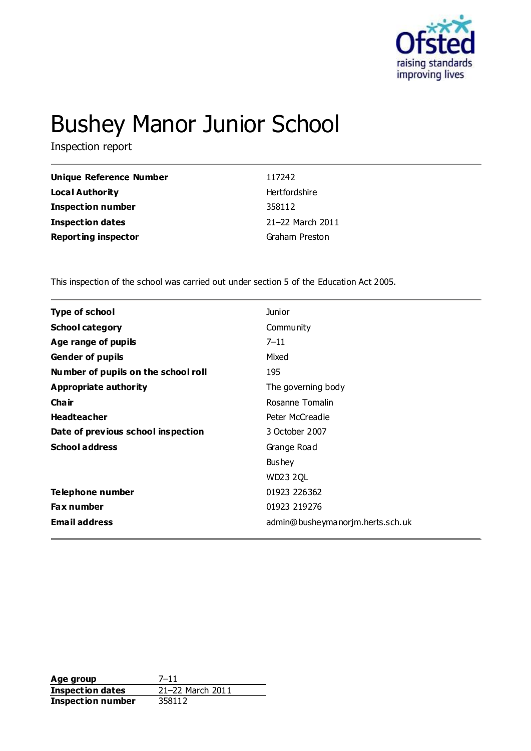

# Bushey Manor Junior School

Inspection report

| Unique Reference Number    | 117242           |
|----------------------------|------------------|
| Local Authority            | Hertfordshire    |
| <b>Inspection number</b>   | 358112           |
| <b>Inspection dates</b>    | 21-22 March 2011 |
| <b>Reporting inspector</b> | Graham Preston   |

This inspection of the school was carried out under section 5 of the Education Act 2005.

| <b>Type of school</b>               | <b>Junior</b>                    |
|-------------------------------------|----------------------------------|
| <b>School category</b>              | Community                        |
| Age range of pupils                 | $7 - 11$                         |
| <b>Gender of pupils</b>             | Mixed                            |
| Number of pupils on the school roll | 195                              |
| Appropriate authority               | The governing body               |
| Cha ir                              | Rosanne Tomalin                  |
| <b>Headteacher</b>                  | Peter McCreadie                  |
| Date of previous school inspection  | 3 October 2007                   |
| <b>School address</b>               | Grange Road                      |
|                                     | <b>Bushey</b>                    |
|                                     | <b>WD23 2QL</b>                  |
| Telephone number                    | 01923 226362                     |
| <b>Fax number</b>                   | 01923 219276                     |
| <b>Email address</b>                | admin@busheymanorjm.herts.sch.uk |
|                                     |                                  |

**Age group** 7-11<br> **Inspection dates** 21-22 March 2011 **Inspection dates** 21–22 M<br>**Inspection number** 358112 **Inspection number**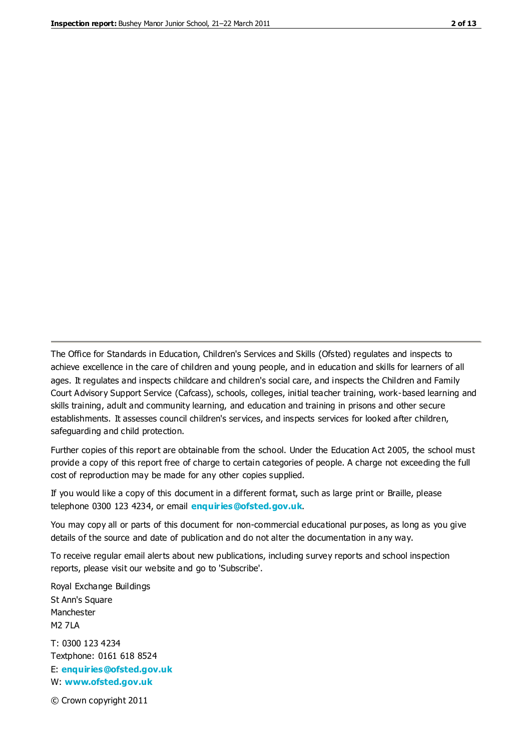The Office for Standards in Education, Children's Services and Skills (Ofsted) regulates and inspects to achieve excellence in the care of children and young people, and in education and skills for learners of all ages. It regulates and inspects childcare and children's social care, and inspects the Children and Family Court Advisory Support Service (Cafcass), schools, colleges, initial teacher training, work-based learning and skills training, adult and community learning, and education and training in prisons and other secure establishments. It assesses council children's services, and inspects services for looked after children, safeguarding and child protection.

Further copies of this report are obtainable from the school. Under the Education Act 2005, the school must provide a copy of this report free of charge to certain categories of people. A charge not exceeding the full cost of reproduction may be made for any other copies supplied.

If you would like a copy of this document in a different format, such as large print or Braille, please telephone 0300 123 4234, or email **[enquiries@ofsted.gov.uk](mailto:enquiries@ofsted.gov.uk)**.

You may copy all or parts of this document for non-commercial educational purposes, as long as you give details of the source and date of publication and do not alter the documentation in any way.

To receive regular email alerts about new publications, including survey reports and school inspection reports, please visit our website and go to 'Subscribe'.

Royal Exchange Buildings St Ann's Square Manchester M2 7LA T: 0300 123 4234 Textphone: 0161 618 8524 E: **[enquiries@ofsted.gov.uk](mailto:enquiries@ofsted.gov.uk)**

W: **[www.ofsted.gov.uk](http://www.ofsted.gov.uk/)**

© Crown copyright 2011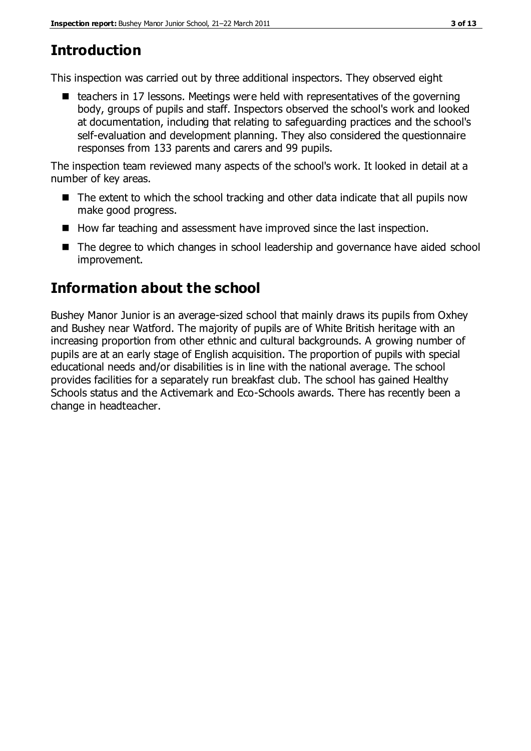# **Introduction**

This inspection was carried out by three additional inspectors. They observed eight

 $\blacksquare$  teachers in 17 lessons. Meetings were held with representatives of the governing body, groups of pupils and staff. Inspectors observed the school's work and looked at documentation, including that relating to safeguarding practices and the school's self-evaluation and development planning. They also considered the questionnaire responses from 133 parents and carers and 99 pupils.

The inspection team reviewed many aspects of the school's work. It looked in detail at a number of key areas.

- The extent to which the school tracking and other data indicate that all pupils now make good progress.
- $\blacksquare$  How far teaching and assessment have improved since the last inspection.
- The degree to which changes in school leadership and governance have aided school improvement.

# **Information about the school**

Bushey Manor Junior is an average-sized school that mainly draws its pupils from Oxhey and Bushey near Watford. The majority of pupils are of White British heritage with an increasing proportion from other ethnic and cultural backgrounds. A growing number of pupils are at an early stage of English acquisition. The proportion of pupils with special educational needs and/or disabilities is in line with the national average. The school provides facilities for a separately run breakfast club. The school has gained Healthy Schools status and the Activemark and Eco-Schools awards. There has recently been a change in headteacher.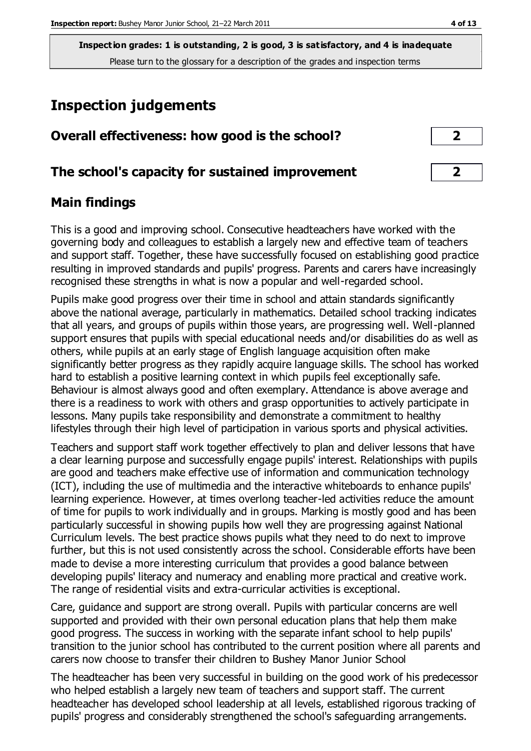# **Inspection judgements**

| Overall effectiveness: how good is the school?  |  |
|-------------------------------------------------|--|
| The school's capacity for sustained improvement |  |

### **Main findings**

This is a good and improving school. Consecutive headteachers have worked with the governing body and colleagues to establish a largely new and effective team of teachers and support staff. Together, these have successfully focused on establishing good practice resulting in improved standards and pupils' progress. Parents and carers have increasingly recognised these strengths in what is now a popular and well-regarded school.

Pupils make good progress over their time in school and attain standards significantly above the national average, particularly in mathematics. Detailed school tracking indicates that all years, and groups of pupils within those years, are progressing well. Well-planned support ensures that pupils with special educational needs and/or disabilities do as well as others, while pupils at an early stage of English language acquisition often make significantly better progress as they rapidly acquire language skills. The school has worked hard to establish a positive learning context in which pupils feel exceptionally safe. Behaviour is almost always good and often exemplary. Attendance is above average and there is a readiness to work with others and grasp opportunities to actively participate in lessons. Many pupils take responsibility and demonstrate a commitment to healthy lifestyles through their high level of participation in various sports and physical activities.

Teachers and support staff work together effectively to plan and deliver lessons that have a clear learning purpose and successfully engage pupils' interest. Relationships with pupils are good and teachers make effective use of information and communication technology (ICT), including the use of multimedia and the interactive whiteboards to enhance pupils' learning experience. However, at times overlong teacher-led activities reduce the amount of time for pupils to work individually and in groups. Marking is mostly good and has been particularly successful in showing pupils how well they are progressing against National Curriculum levels. The best practice shows pupils what they need to do next to improve further, but this is not used consistently across the school. Considerable efforts have been made to devise a more interesting curriculum that provides a good balance between developing pupils' literacy and numeracy and enabling more practical and creative work. The range of residential visits and extra-curricular activities is exceptional.

Care, guidance and support are strong overall. Pupils with particular concerns are well supported and provided with their own personal education plans that help them make good progress. The success in working with the separate infant school to help pupils' transition to the junior school has contributed to the current position where all parents and carers now choose to transfer their children to Bushey Manor Junior School

The headteacher has been very successful in building on the good work of his predecessor who helped establish a largely new team of teachers and support staff. The current headteacher has developed school leadership at all levels, established rigorous tracking of pupils' progress and considerably strengthened the school's safeguarding arrangements.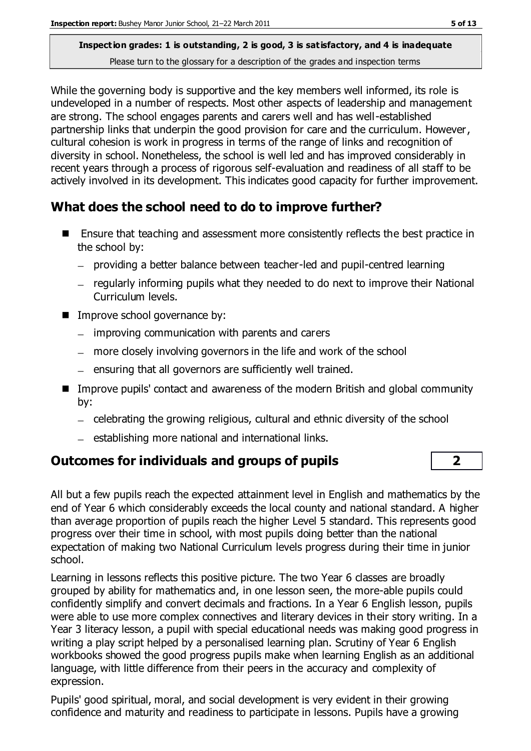While the governing body is supportive and the key members well informed, its role is undeveloped in a number of respects. Most other aspects of leadership and management are strong. The school engages parents and carers well and has well-established partnership links that underpin the good provision for care and the curriculum. However, cultural cohesion is work in progress in terms of the range of links and recognition of diversity in school. Nonetheless, the school is well led and has improved considerably in recent years through a process of rigorous self-evaluation and readiness of all staff to be actively involved in its development. This indicates good capacity for further improvement.

### **What does the school need to do to improve further?**

- Ensure that teaching and assessment more consistently reflects the best practice in the school by:
	- providing a better balance between teacher-led and pupil-centred learning
	- regularly informing pupils what they needed to do next to improve their National Curriculum levels.
- **IMPROVE SCHOOL GOVERNANCE by:** 
	- $-$  improving communication with parents and carers
	- more closely involving governors in the life and work of the school
	- ensuring that all governors are sufficiently well trained.
- Improve pupils' contact and awareness of the modern British and global community by:
	- celebrating the growing religious, cultural and ethnic diversity of the school
	- $-$  establishing more national and international links.

### **Outcomes for individuals and groups of pupils 2**

All but a few pupils reach the expected attainment level in English and mathematics by the end of Year 6 which considerably exceeds the local county and national standard. A higher than average proportion of pupils reach the higher Level 5 standard. This represents good progress over their time in school, with most pupils doing better than the national expectation of making two National Curriculum levels progress during their time in junior school.

Learning in lessons reflects this positive picture. The two Year 6 classes are broadly grouped by ability for mathematics and, in one lesson seen, the more-able pupils could confidently simplify and convert decimals and fractions. In a Year 6 English lesson, pupils were able to use more complex connectives and literary devices in their story writing. In a Year 3 literacy lesson, a pupil with special educational needs was making good progress in writing a play script helped by a personalised learning plan. Scrutiny of Year 6 English workbooks showed the good progress pupils make when learning English as an additional language, with little difference from their peers in the accuracy and complexity of expression.

Pupils' good spiritual, moral, and social development is very evident in their growing confidence and maturity and readiness to participate in lessons. Pupils have a growing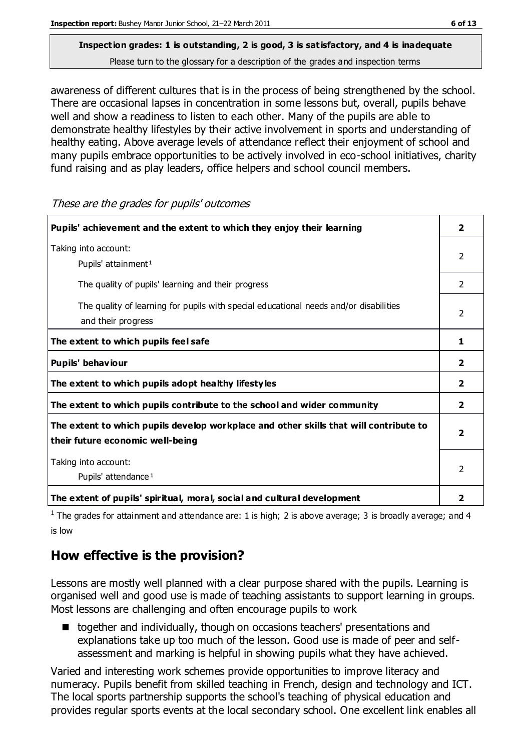awareness of different cultures that is in the process of being strengthened by the school. There are occasional lapses in concentration in some lessons but, overall, pupils behave well and show a readiness to listen to each other. Many of the pupils are able to demonstrate healthy lifestyles by their active involvement in sports and understanding of healthy eating. Above average levels of attendance reflect their enjoyment of school and many pupils embrace opportunities to be actively involved in eco-school initiatives, charity fund raising and as play leaders, office helpers and school council members.

These are the grades for pupils' outcomes

| Pupils' achievement and the extent to which they enjoy their learning                                                     |                |
|---------------------------------------------------------------------------------------------------------------------------|----------------|
| Taking into account:<br>Pupils' attainment <sup>1</sup>                                                                   | $\overline{2}$ |
| The quality of pupils' learning and their progress                                                                        | $\overline{2}$ |
| The quality of learning for pupils with special educational needs and/or disabilities<br>and their progress               |                |
| The extent to which pupils feel safe                                                                                      |                |
| Pupils' behaviour                                                                                                         | 2              |
| The extent to which pupils adopt healthy lifestyles                                                                       | 2              |
| The extent to which pupils contribute to the school and wider community                                                   | $\mathbf{2}$   |
| The extent to which pupils develop workplace and other skills that will contribute to<br>their future economic well-being |                |
| Taking into account:<br>Pupils' attendance <sup>1</sup>                                                                   |                |
| The extent of pupils' spiritual, moral, social and cultural development                                                   | 2              |

<sup>1</sup> The grades for attainment and attendance are: 1 is high; 2 is above average; 3 is broadly average; and 4 is low

### **How effective is the provision?**

Lessons are mostly well planned with a clear purpose shared with the pupils. Learning is organised well and good use is made of teaching assistants to support learning in groups. Most lessons are challenging and often encourage pupils to work

■ together and individually, though on occasions teachers' presentations and explanations take up too much of the lesson. Good use is made of peer and selfassessment and marking is helpful in showing pupils what they have achieved.

Varied and interesting work schemes provide opportunities to improve literacy and numeracy. Pupils benefit from skilled teaching in French, design and technology and ICT. The local sports partnership supports the school's teaching of physical education and provides regular sports events at the local secondary school. One excellent link enables all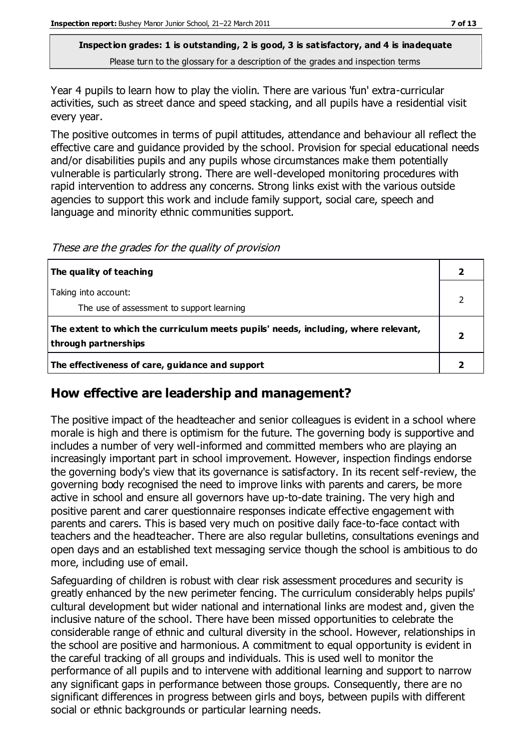Year 4 pupils to learn how to play the violin. There are various 'fun' extra-curricular activities, such as street dance and speed stacking, and all pupils have a residential visit every year.

The positive outcomes in terms of pupil attitudes, attendance and behaviour all reflect the effective care and guidance provided by the school. Provision for special educational needs and/or disabilities pupils and any pupils whose circumstances make them potentially vulnerable is particularly strong. There are well-developed monitoring procedures with rapid intervention to address any concerns. Strong links exist with the various outside agencies to support this work and include family support, social care, speech and language and minority ethnic communities support.

These are the grades for the quality of provision

| The quality of teaching                                                                                    |  |
|------------------------------------------------------------------------------------------------------------|--|
| Taking into account:<br>The use of assessment to support learning                                          |  |
| The extent to which the curriculum meets pupils' needs, including, where relevant,<br>through partnerships |  |
| The effectiveness of care, guidance and support                                                            |  |

#### **How effective are leadership and management?**

The positive impact of the headteacher and senior colleagues is evident in a school where morale is high and there is optimism for the future. The governing body is supportive and includes a number of very well-informed and committed members who are playing an increasingly important part in school improvement. However, inspection findings endorse the governing body's view that its governance is satisfactory. In its recent self-review, the governing body recognised the need to improve links with parents and carers, be more active in school and ensure all governors have up-to-date training. The very high and positive parent and carer questionnaire responses indicate effective engagement with parents and carers. This is based very much on positive daily face-to-face contact with teachers and the headteacher. There are also regular bulletins, consultations evenings and open days and an established text messaging service though the school is ambitious to do more, including use of email.

Safeguarding of children is robust with clear risk assessment procedures and security is greatly enhanced by the new perimeter fencing. The curriculum considerably helps pupils' cultural development but wider national and international links are modest and, given the inclusive nature of the school. There have been missed opportunities to celebrate the considerable range of ethnic and cultural diversity in the school. However, relationships in the school are positive and harmonious. A commitment to equal opportunity is evident in the careful tracking of all groups and individuals. This is used well to monitor the performance of all pupils and to intervene with additional learning and support to narrow any significant gaps in performance between those groups. Consequently, there are no significant differences in progress between girls and boys, between pupils with different social or ethnic backgrounds or particular learning needs.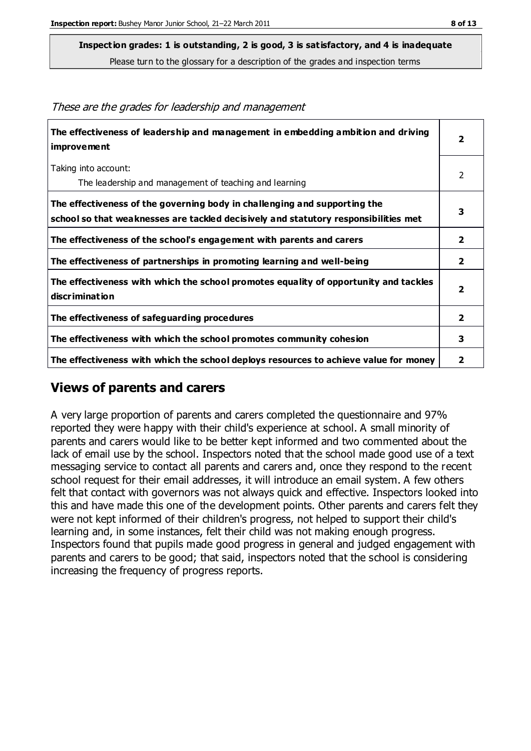**Inspection grades: 1 is outstanding, 2 is good, 3 is satisfactory, and 4 is inadequate**

Please turn to the glossary for a description of the grades and inspection terms

| The effectiveness of leadership and management in embedding ambition and driving<br><b>improvement</b>                                                           | $\overline{\mathbf{2}}$ |
|------------------------------------------------------------------------------------------------------------------------------------------------------------------|-------------------------|
| Taking into account:<br>The leadership and management of teaching and learning                                                                                   | 2                       |
| The effectiveness of the governing body in challenging and supporting the<br>school so that weaknesses are tackled decisively and statutory responsibilities met | 3                       |
| The effectiveness of the school's engagement with parents and carers                                                                                             | $\overline{\mathbf{2}}$ |
| The effectiveness of partnerships in promoting learning and well-being                                                                                           | 2                       |
| The effectiveness with which the school promotes equality of opportunity and tackles<br>discrimination                                                           | $\overline{2}$          |
| The effectiveness of safeguarding procedures                                                                                                                     | $\mathbf{2}$            |
| The effectiveness with which the school promotes community cohesion                                                                                              | 3                       |
| The effectiveness with which the school deploys resources to achieve value for money                                                                             | 2                       |

These are the grades for leadership and management

### **Views of parents and carers**

A very large proportion of parents and carers completed the questionnaire and 97% reported they were happy with their child's experience at school. A small minority of parents and carers would like to be better kept informed and two commented about the lack of email use by the school. Inspectors noted that the school made good use of a text messaging service to contact all parents and carers and, once they respond to the recent school request for their email addresses, it will introduce an email system. A few others felt that contact with governors was not always quick and effective. Inspectors looked into this and have made this one of the development points. Other parents and carers felt they were not kept informed of their children's progress, not helped to support their child's learning and, in some instances, felt their child was not making enough progress. Inspectors found that pupils made good progress in general and judged engagement with parents and carers to be good; that said, inspectors noted that the school is considering increasing the frequency of progress reports.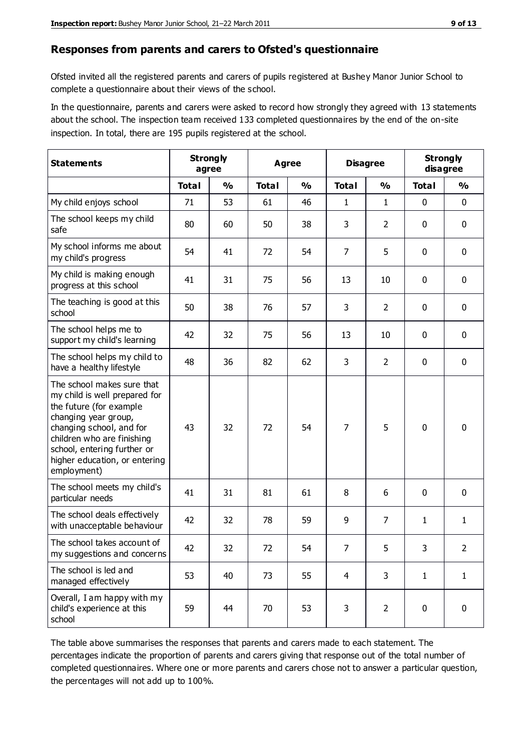#### **Responses from parents and carers to Ofsted's questionnaire**

Ofsted invited all the registered parents and carers of pupils registered at Bushey Manor Junior School to complete a questionnaire about their views of the school.

In the questionnaire, parents and carers were asked to record how strongly they agreed with 13 statements about the school. The inspection team received 133 completed questionnaires by the end of the on-site inspection. In total, there are 195 pupils registered at the school.

| <b>Statements</b>                                                                                                                                                                                                                                       | <b>Strongly</b><br>agree |               | <b>Agree</b> |               | <b>Disagree</b> |                | <b>Strongly</b><br>disagree |               |
|---------------------------------------------------------------------------------------------------------------------------------------------------------------------------------------------------------------------------------------------------------|--------------------------|---------------|--------------|---------------|-----------------|----------------|-----------------------------|---------------|
|                                                                                                                                                                                                                                                         | <b>Total</b>             | $\frac{0}{0}$ | <b>Total</b> | $\frac{0}{0}$ | <b>Total</b>    | $\frac{0}{0}$  | <b>Total</b>                | $\frac{0}{0}$ |
| My child enjoys school                                                                                                                                                                                                                                  | 71                       | 53            | 61           | 46            | 1               | 1              | 0                           | $\mathbf 0$   |
| The school keeps my child<br>safe                                                                                                                                                                                                                       | 80                       | 60            | 50           | 38            | 3               | $\overline{2}$ | 0                           | $\pmb{0}$     |
| My school informs me about<br>my child's progress                                                                                                                                                                                                       | 54                       | 41            | 72           | 54            | $\overline{7}$  | 5              | $\mathbf 0$                 | $\mathbf 0$   |
| My child is making enough<br>progress at this school                                                                                                                                                                                                    | 41                       | 31            | 75           | 56            | 13              | 10             | $\mathbf 0$                 | $\mathbf 0$   |
| The teaching is good at this<br>school                                                                                                                                                                                                                  | 50                       | 38            | 76           | 57            | 3               | $\overline{2}$ | 0                           | 0             |
| The school helps me to<br>support my child's learning                                                                                                                                                                                                   | 42                       | 32            | 75           | 56            | 13              | 10             | 0                           | $\mathbf 0$   |
| The school helps my child to<br>have a healthy lifestyle                                                                                                                                                                                                | 48                       | 36            | 82           | 62            | 3               | $\overline{2}$ | 0                           | 0             |
| The school makes sure that<br>my child is well prepared for<br>the future (for example<br>changing year group,<br>changing school, and for<br>children who are finishing<br>school, entering further or<br>higher education, or entering<br>employment) | 43                       | 32            | 72           | 54            | $\overline{7}$  | 5              | $\mathbf 0$                 | $\mathbf 0$   |
| The school meets my child's<br>particular needs                                                                                                                                                                                                         | 41                       | 31            | 81           | 61            | 8               | 6              | $\mathbf 0$                 | $\mathbf 0$   |
| The school deals effectively<br>with unacceptable behaviour                                                                                                                                                                                             | 42                       | 32            | 78           | 59            | 9               | 7              | 1                           | $\mathbf{1}$  |
| The school takes account of<br>my suggestions and concerns                                                                                                                                                                                              | 42                       | 32            | 72           | 54            | $\overline{7}$  | 5              | 3                           | 2             |
| The school is led and<br>managed effectively                                                                                                                                                                                                            | 53                       | 40            | 73           | 55            | $\overline{4}$  | 3              | $\mathbf{1}$                | $\mathbf{1}$  |
| Overall, I am happy with my<br>child's experience at this<br>school                                                                                                                                                                                     | 59                       | 44            | 70           | 53            | 3               | $\overline{2}$ | $\mathbf 0$                 | $\pmb{0}$     |

The table above summarises the responses that parents and carers made to each statement. The percentages indicate the proportion of parents and carers giving that response out of the total number of completed questionnaires. Where one or more parents and carers chose not to answer a particular question, the percentages will not add up to 100%.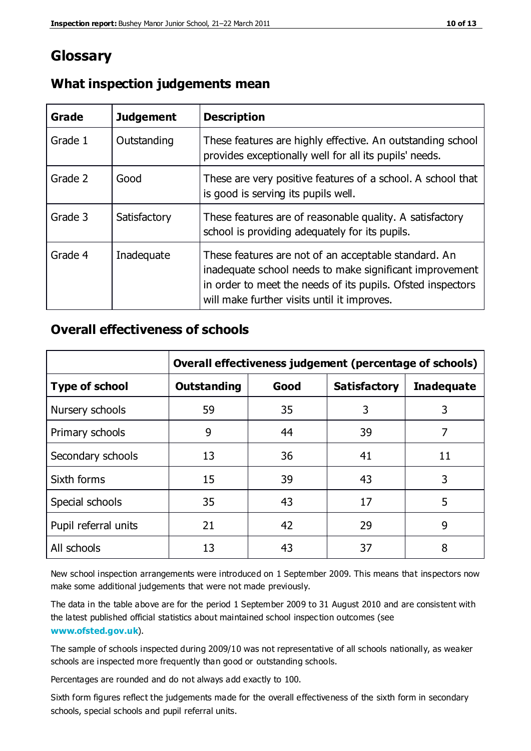## **Glossary**

| Grade   | <b>Judgement</b> | <b>Description</b>                                                                                                                                                                                                            |
|---------|------------------|-------------------------------------------------------------------------------------------------------------------------------------------------------------------------------------------------------------------------------|
| Grade 1 | Outstanding      | These features are highly effective. An outstanding school<br>provides exceptionally well for all its pupils' needs.                                                                                                          |
| Grade 2 | Good             | These are very positive features of a school. A school that<br>is good is serving its pupils well.                                                                                                                            |
| Grade 3 | Satisfactory     | These features are of reasonable quality. A satisfactory<br>school is providing adequately for its pupils.                                                                                                                    |
| Grade 4 | Inadequate       | These features are not of an acceptable standard. An<br>inadequate school needs to make significant improvement<br>in order to meet the needs of its pupils. Ofsted inspectors<br>will make further visits until it improves. |

#### **What inspection judgements mean**

#### **Overall effectiveness of schools**

|                       | Overall effectiveness judgement (percentage of schools) |      |                     |                   |
|-----------------------|---------------------------------------------------------|------|---------------------|-------------------|
| <b>Type of school</b> | <b>Outstanding</b>                                      | Good | <b>Satisfactory</b> | <b>Inadequate</b> |
| Nursery schools       | 59                                                      | 35   | 3                   | 3                 |
| Primary schools       | 9                                                       | 44   | 39                  | 7                 |
| Secondary schools     | 13                                                      | 36   | 41                  | 11                |
| Sixth forms           | 15                                                      | 39   | 43                  | 3                 |
| Special schools       | 35                                                      | 43   | 17                  | 5                 |
| Pupil referral units  | 21                                                      | 42   | 29                  | 9                 |
| All schools           | 13                                                      | 43   | 37                  | 8                 |

New school inspection arrangements were introduced on 1 September 2009. This means that inspectors now make some additional judgements that were not made previously.

The data in the table above are for the period 1 September 2009 to 31 August 2010 and are consistent with the latest published official statistics about maintained school inspec tion outcomes (see **[www.ofsted.gov.uk](http://www.ofsted.gov.uk/)**).

The sample of schools inspected during 2009/10 was not representative of all schools nationally, as weaker schools are inspected more frequently than good or outstanding schools.

Percentages are rounded and do not always add exactly to 100.

Sixth form figures reflect the judgements made for the overall effectiveness of the sixth form in secondary schools, special schools and pupil referral units.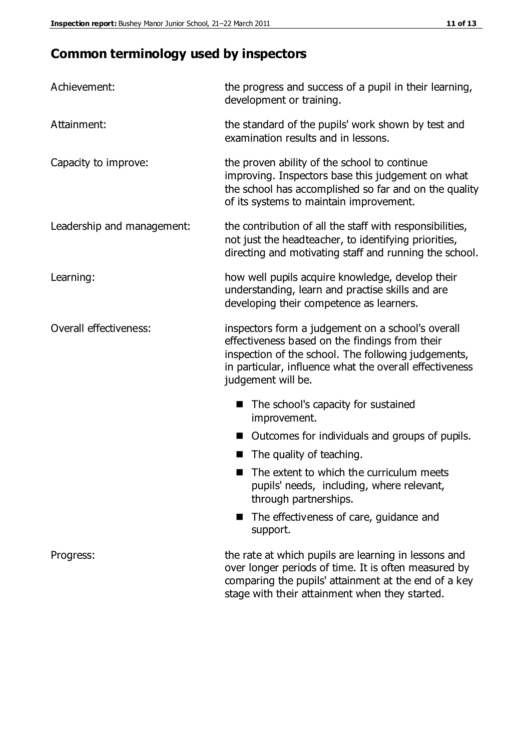# **Common terminology used by inspectors**

| Achievement:                  | the progress and success of a pupil in their learning,<br>development or training.                                                                                                                                                          |  |  |
|-------------------------------|---------------------------------------------------------------------------------------------------------------------------------------------------------------------------------------------------------------------------------------------|--|--|
| Attainment:                   | the standard of the pupils' work shown by test and<br>examination results and in lessons.                                                                                                                                                   |  |  |
| Capacity to improve:          | the proven ability of the school to continue<br>improving. Inspectors base this judgement on what<br>the school has accomplished so far and on the quality<br>of its systems to maintain improvement.                                       |  |  |
| Leadership and management:    | the contribution of all the staff with responsibilities,<br>not just the headteacher, to identifying priorities,<br>directing and motivating staff and running the school.                                                                  |  |  |
| Learning:                     | how well pupils acquire knowledge, develop their<br>understanding, learn and practise skills and are<br>developing their competence as learners.                                                                                            |  |  |
| <b>Overall effectiveness:</b> | inspectors form a judgement on a school's overall<br>effectiveness based on the findings from their<br>inspection of the school. The following judgements,<br>in particular, influence what the overall effectiveness<br>judgement will be. |  |  |
|                               | The school's capacity for sustained<br>improvement.                                                                                                                                                                                         |  |  |
|                               | Outcomes for individuals and groups of pupils.                                                                                                                                                                                              |  |  |
|                               | The quality of teaching.                                                                                                                                                                                                                    |  |  |
|                               | The extent to which the curriculum meets<br>pupils' needs, including, where relevant,<br>through partnerships.                                                                                                                              |  |  |
|                               | The effectiveness of care, guidance and<br>support.                                                                                                                                                                                         |  |  |
| Progress:                     | the rate at which pupils are learning in lessons and<br>over longer periods of time. It is often measured by<br>comparing the pupils' attainment at the end of a key                                                                        |  |  |

stage with their attainment when they started.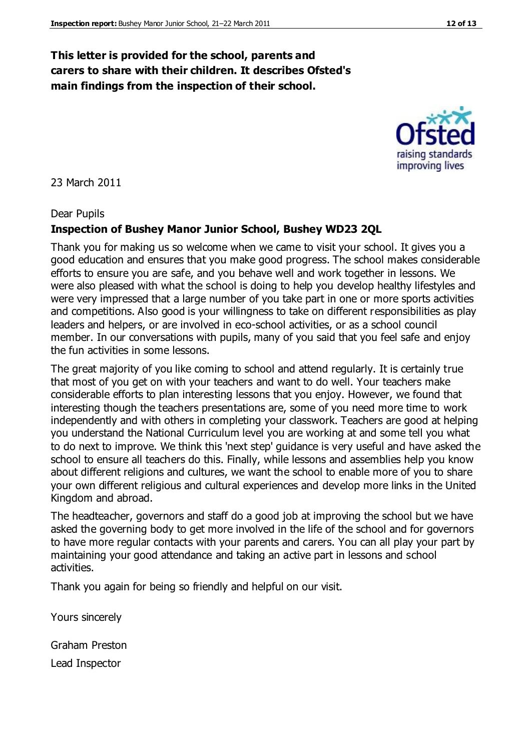#### **This letter is provided for the school, parents and carers to share with their children. It describes Ofsted's main findings from the inspection of their school.**

#### 23 March 2011

#### Dear Pupils

#### **Inspection of Bushey Manor Junior School, Bushey WD23 2QL**

Thank you for making us so welcome when we came to visit your school. It gives you a good education and ensures that you make good progress. The school makes considerable efforts to ensure you are safe, and you behave well and work together in lessons. We were also pleased with what the school is doing to help you develop healthy lifestyles and were very impressed that a large number of you take part in one or more sports activities and competitions. Also good is your willingness to take on different responsibilities as play leaders and helpers, or are involved in eco-school activities, or as a school council member. In our conversations with pupils, many of you said that you feel safe and enjoy the fun activities in some lessons.

The great majority of you like coming to school and attend regularly. It is certainly true that most of you get on with your teachers and want to do well. Your teachers make considerable efforts to plan interesting lessons that you enjoy. However, we found that interesting though the teachers presentations are, some of you need more time to work independently and with others in completing your classwork. Teachers are good at helping you understand the National Curriculum level you are working at and some tell you what to do next to improve. We think this 'next step' guidance is very useful and have asked the school to ensure all teachers do this. Finally, while lessons and assemblies help you know about different religions and cultures, we want the school to enable more of you to share your own different religious and cultural experiences and develop more links in the United Kingdom and abroad.

The headteacher, governors and staff do a good job at improving the school but we have asked the governing body to get more involved in the life of the school and for governors to have more regular contacts with your parents and carers. You can all play your part by maintaining your good attendance and taking an active part in lessons and school activities.

Thank you again for being so friendly and helpful on our visit.

Yours sincerely

Graham Preston Lead Inspector